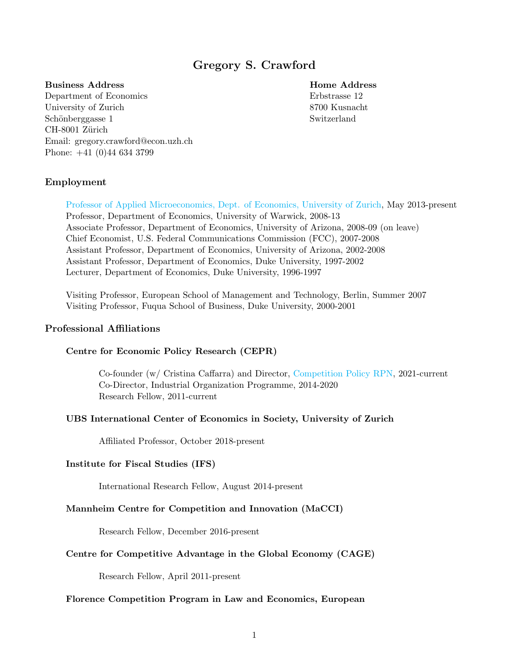# Gregory S. Crawford

## Business Address **Home Address**

Department of Economics Erbstrasse 12 University of Zurich 8700 Kusnacht Schönberggasse 1 Switzerland CH-8001 Zürich Email: gregory.crawford@econ.uzh.ch Phone: +41 (0)44 634 3799

## Employment

[Professor of Applied Microeconomics, Dept. of Economics, University of Zurich,](https://www.econ.uzh.ch/en/people/faculty/crawford.html) May 2013-present Professor, Department of Economics, University of Warwick, 2008-13 Associate Professor, Department of Economics, University of Arizona, 2008-09 (on leave) Chief Economist, U.S. Federal Communications Commission (FCC), 2007-2008 Assistant Professor, Department of Economics, University of Arizona, 2002-2008 Assistant Professor, Department of Economics, Duke University, 1997-2002 Lecturer, Department of Economics, Duke University, 1996-1997

Visiting Professor, European School of Management and Technology, Berlin, Summer 2007 Visiting Professor, Fuqua School of Business, Duke University, 2000-2001

## Professional Affiliations

## Centre for Economic Policy Research (CEPR)

Co-founder (w/ Cristina Caffarra) and Director, [Competition Policy RPN,](https://cepr.org/content/cepr-rpn-competition-policy) 2021-current Co-Director, Industrial Organization Programme, 2014-2020 Research Fellow, 2011-current

## UBS International Center of Economics in Society, University of Zurich

Affiliated Professor, October 2018-present

#### Institute for Fiscal Studies (IFS)

International Research Fellow, August 2014-present

#### Mannheim Centre for Competition and Innovation (MaCCI)

Research Fellow, December 2016-present

#### Centre for Competitive Advantage in the Global Economy (CAGE)

Research Fellow, April 2011-present

#### Florence Competition Program in Law and Economics, European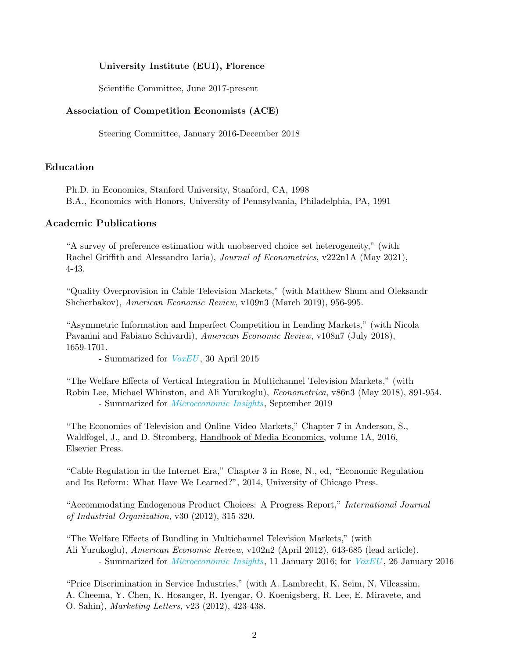## University Institute (EUI), Florence

Scientific Committee, June 2017-present

#### Association of Competition Economists (ACE)

Steering Committee, January 2016-December 2018

## Education

Ph.D. in Economics, Stanford University, Stanford, CA, 1998 B.A., Economics with Honors, University of Pennsylvania, Philadelphia, PA, 1991

#### Academic Publications

"A survey of preference estimation with unobserved choice set heterogeneity," (with Rachel Griffith and Alessandro Iaria), *Journal of Econometrics*, v222n1A (May 2021), 4-43.

"Quality Overprovision in Cable Television Markets," (with Matthew Shum and Oleksandr Shcherbakov), American Economic Review, v109n3 (March 2019), 956-995.

"Asymmetric Information and Imperfect Competition in Lending Markets," (with Nicola Pavanini and Fabiano Schivardi), American Economic Review, v108n7 (July 2018), 1659-1701.

- Summarized for *[VoxEU](https://voxeu.org/article/asymmetric-information-and-imperfect-competition-lending-markets)*, 30 April 2015

"The Welfare Effects of Vertical Integration in Multichannel Television Markets," (with Robin Lee, Michael Whinston, and Ali Yurukoglu), Econometrica, v86n3 (May 2018), 891-954. - Summarized for *[Microeconomic Insights](https://microeconomicinsights.org/effects-of-vertical-mergers-in-multichannel-tv-markets-evidence-from-regional-sports-programming/)*, September 2019

"The Economics of Television and Online Video Markets," Chapter 7 in Anderson, S., Waldfogel, J., and D. Stromberg, Handbook of Media Economics, volume 1A, 2016, Elsevier Press.

"Cable Regulation in the Internet Era," Chapter 3 in Rose, N., ed, "Economic Regulation and Its Reform: What Have We Learned?", 2014, University of Chicago Press.

"Accommodating Endogenous Product Choices: A Progress Report," International Journal of Industrial Organization, v30 (2012), 315-320.

"The Welfare Effects of Bundling in Multichannel Television Markets," (with Ali Yurukoglu), American Economic Review, v102n2 (April 2012), 643-685 (lead article). - Summarized for *[Microeconomic Insights](https://microeconomicinsights.org/should-cable-television-channels-be-offered-a-la-carte/)*, 11 January 2016; for *[VoxEU](https://voxeu.org/article/costs-and-benefits-cable-tv-la-carte)*, 26 January 2016

"Price Discrimination in Service Industries," (with A. Lambrecht, K. Seim, N. Vilcassim, A. Cheema, Y. Chen, K. Hosanger, R. Iyengar, O. Koenigsberg, R. Lee, E. Miravete, and O. Sahin), Marketing Letters, v23 (2012), 423-438.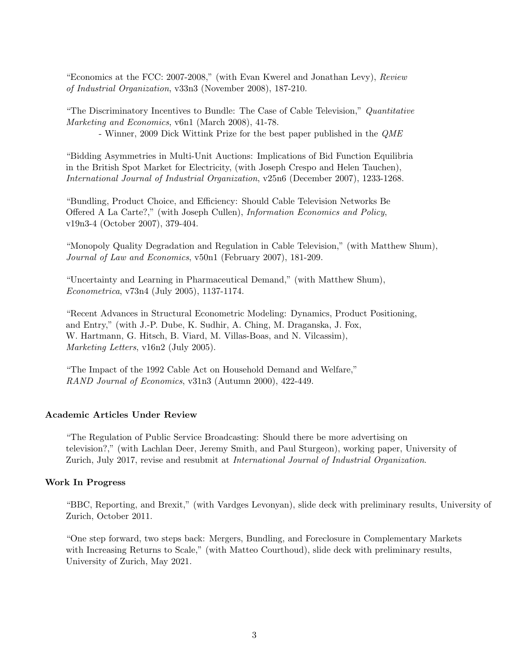"Economics at the FCC: 2007-2008," (with Evan Kwerel and Jonathan Levy), Review of Industrial Organization, v33n3 (November 2008), 187-210.

"The Discriminatory Incentives to Bundle: The Case of Cable Television," Quantitative Marketing and Economics, v6n1 (March 2008), 41-78.

- Winner, 2009 Dick Wittink Prize for the best paper published in the QME

"Bidding Asymmetries in Multi-Unit Auctions: Implications of Bid Function Equilibria in the British Spot Market for Electricity, (with Joseph Crespo and Helen Tauchen), International Journal of Industrial Organization, v25n6 (December 2007), 1233-1268.

"Bundling, Product Choice, and Efficiency: Should Cable Television Networks Be Offered A La Carte?," (with Joseph Cullen), Information Economics and Policy, v19n3-4 (October 2007), 379-404.

"Monopoly Quality Degradation and Regulation in Cable Television," (with Matthew Shum), Journal of Law and Economics, v50n1 (February 2007), 181-209.

"Uncertainty and Learning in Pharmaceutical Demand," (with Matthew Shum), Econometrica, v73n4 (July 2005), 1137-1174.

"Recent Advances in Structural Econometric Modeling: Dynamics, Product Positioning, and Entry," (with J.-P. Dube, K. Sudhir, A. Ching, M. Draganska, J. Fox, W. Hartmann, G. Hitsch, B. Viard, M. Villas-Boas, and N. Vilcassim), Marketing Letters, v16n2 (July 2005).

"The Impact of the 1992 Cable Act on Household Demand and Welfare," RAND Journal of Economics, v31n3 (Autumn 2000), 422-449.

#### Academic Articles Under Review

"The Regulation of Public Service Broadcasting: Should there be more advertising on television?," (with Lachlan Deer, Jeremy Smith, and Paul Sturgeon), working paper, University of Zurich, July 2017, revise and resubmit at *International Journal of Industrial Organization*.

#### Work In Progress

"BBC, Reporting, and Brexit," (with Vardges Levonyan), slide deck with preliminary results, University of Zurich, October 2011.

"One step forward, two steps back: Mergers, Bundling, and Foreclosure in Complementary Markets with Increasing Returns to Scale," (with Matteo Courthoud), slide deck with preliminary results, University of Zurich, May 2021.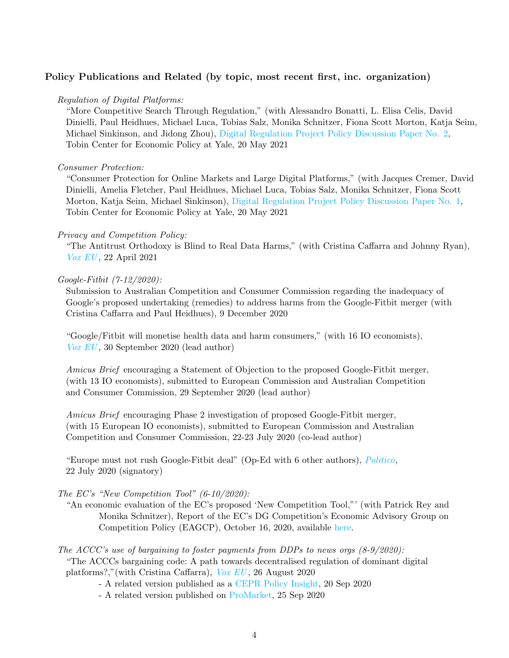## Policy Publications and Related (by topic, most recent first, inc. organization)

#### Regulation of Digital Platforms:

"More Competitive Search Through Regulation," (with Alessandro Bonatti, L. Elisa Celis, David Dinielli, Paul Heidhues, Michael Luca, Tobias Salz, Monika Schnitzer, Fiona Scott Morton, Katja Seim, Michael Sinkinson, and Jidong Zhou), [Digital Regulation Project Policy Discussion Paper No. 2,](https://tobin.yale.edu/sites/default/files/pdfs/digital%20regulation%20papers/Digital%20Regulation%20Project%20-%20Search%20-%20Discussion%20Paper%20No%202%20(1).pdf) Tobin Center for Economic Policy at Yale, 20 May 2021

## Consumer Protection:

"Consumer Protection for Online Markets and Large Digital Platforms," (with Jacques Cremer, David Dinielli, Amelia Fletcher, Paul Heidhues, Michael Luca, Tobias Salz, Monika Schnitzer, Fiona Scott Morton, Katja Seim, Michael Sinkinson), [Digital Regulation Project Policy Discussion Paper No. 1,](https://tobin.yale.edu/sites/default/files/pdfs/digital%20regulation%20papers/Digital%20Regulation%20Project%20-%20Consumer%20Protection%20-%20Discussion%20Paper%20No%201.pdf) Tobin Center for Economic Policy at Yale, 20 May 2021

#### Privacy and Competition Policy:

"The Antitrust Orthodoxy is Blind to Real Data Harms," (with Cristina Caffarra and Johnny Ryan), [Vox EU](https://voxeu.org/content/antitrust-orthodoxy-blind-real-data-harms) , 22 April 2021

#### Google-Fitbit (7-12/2020):

Submission to Australian Competition and Consumer Commission regarding the inadequacy of Google's proposed undertaking (remedies) to address harms from the Google-Fitbit merger (with Cristina Caffarra and Paul Heidhues), 9 December 2020

"Google/Fitbit will monetise health data and harm consumers," (with 16 IO economists), [Vox EU](https://voxeu.org/article/googlefitbit-will-monetise-health-data-and-harm-consumers) , 30 September 2020 (lead author)

Amicus Brief encouraging a Statement of Objection to the proposed Google-Fitbit merger, (with 13 IO economists), submitted to European Commission and Australian Competition and Consumer Commission, 29 September 2020 (lead author)

Amicus Brief encouraging Phase 2 investigation of proposed Google-Fitbit merger, (with 15 European IO economists), submitted to European Commission and Australian Competition and Consumer Commission, 22-23 July 2020 (co-lead author)

"Europe must not rush Google-Fitbit deal" (Op-Ed with 6 other authors), [Politico](https://www.politico.eu/article/europe-must-not-rush-google-fitbit-deal-data-privacy/), 22 July 2020 (signatory)

## The EC's "New Competition Tool" (6-10/2020):

- "An economic evaluation of the EC's proposed 'New Competition Tool,"' (with Patrick Rey and Monika Schnitzer), Report of the EC's DG Competition's Economic Advisory Group on Competition Policy (EAGCP), October 16, 2020, available [here.](https://ec.europa.eu/competition-policy/public-consultations/closed-consultations/2020-new-comp-tool_en)
- The ACCC's use of bargaining to foster payments from DDPs to news orgs  $(8-9/2020)$ : "The ACCCs bargaining code: A path towards decentralised regulation of dominant digital platforms?,"(with Cristina Caffarra), [Vox EU](https://voxeu.org/article/accc-s-bargaining-code-path-towards-decentralised-regulation-dominant-digital-platforms) , 26 August 2020
	- A related version published as a [CEPR Policy Insight,](https://cepr.org/active/publications/policy_insights/viewpi.php?pino=105) 20 Sep 2020
	- A related version published on [ProMarket,](https://promarket.org/2020/09/25/the-acccs-news-media-bargaining-code-experimenting-with-decentralized-regulation-of-dominant-digital-platforms/) 25 Sep 2020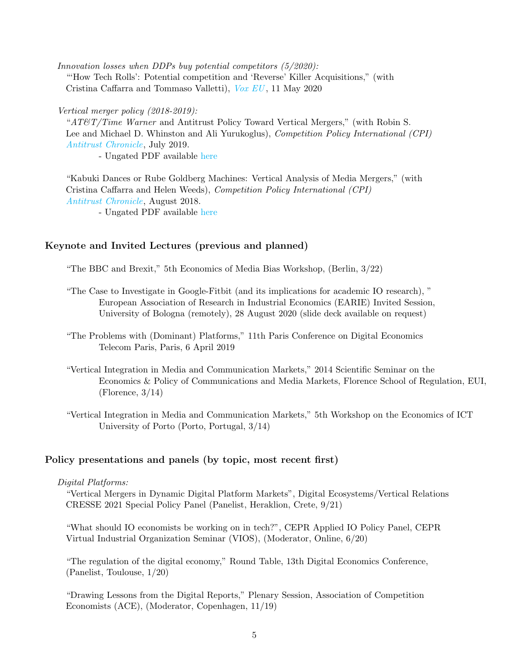Innovation losses when DDPs buy potential competitors (5/2020): "'How Tech Rolls': Potential competition and 'Reverse' Killer Acquisitions," (with Cristina Caffarra and Tommaso Valletti), [Vox EU](https://voxeu.org/content/how-tech-rolls-potential-competition-and-reverse-killer-acquisitions) , 11 May 2020

#### Vertical merger policy (2018-2019):

"AT&T/Time Warner and Antitrust Policy Toward Vertical Mergers," (with Robin S. Lee and Michael D. Whinston and Ali Yurukoglus), Competition Policy International (CPI) [Antitrust Chronicle](https://www.competitionpolicyinternational.com/att-time-warner-and-antitrust-policy-toward-vertical-mergers/), July 2019.

- Ungated PDF available [here](https://www.econ.uzh.ch/dam/jcr:7e619e0c-7067-4e93-ac9e-8f47cf4efa1a/CPI-Crawford-Lee-Whinston-Yurukoglu.pdf)

"Kabuki Dances or Rube Goldberg Machines: Vertical Analysis of Media Mergers," (with Cristina Caffarra and Helen Weeds), Competition Policy International (CPI) [Antitrust Chronicle](https://www.competitionpolicyinternational.com/kabuki-dances-or-rube-goldberg-machines-vertical-analyses-of-media-mergers/), August 2018.

- Ungated PDF available [here](https://www.econ.uzh.ch/dam/jcr:4dedce07-327f-446a-a24b-0c13497eaa64/CPI-Caffarra-Crawford-Weeds.pdf)

## Keynote and Invited Lectures (previous and planned)

"The BBC and Brexit," 5th Economics of Media Bias Workshop, (Berlin, 3/22)

- "The Case to Investigate in Google-Fitbit (and its implications for academic IO research), " European Association of Research in Industrial Economics (EARIE) Invited Session, University of Bologna (remotely), 28 August 2020 (slide deck available on request)
- "The Problems with (Dominant) Platforms," 11th Paris Conference on Digital Economics Telecom Paris, Paris, 6 April 2019
- "Vertical Integration in Media and Communication Markets," 2014 Scientific Seminar on the Economics & Policy of Communications and Media Markets, Florence School of Regulation, EUI,  $(Florence, 3/14)$
- "Vertical Integration in Media and Communication Markets," 5th Workshop on the Economics of ICT University of Porto (Porto, Portugal, 3/14)

#### Policy presentations and panels (by topic, most recent first)

#### Digital Platforms:

"Vertical Mergers in Dynamic Digital Platform Markets", Digital Ecosystems/Vertical Relations CRESSE 2021 Special Policy Panel (Panelist, Heraklion, Crete, 9/21)

"What should IO economists be working on in tech?", CEPR Applied IO Policy Panel, CEPR Virtual Industrial Organization Seminar (VIOS), (Moderator, Online, 6/20)

"The regulation of the digital economy," Round Table, 13th Digital Economics Conference, (Panelist, Toulouse, 1/20)

"Drawing Lessons from the Digital Reports," Plenary Session, Association of Competition Economists (ACE), (Moderator, Copenhagen, 11/19)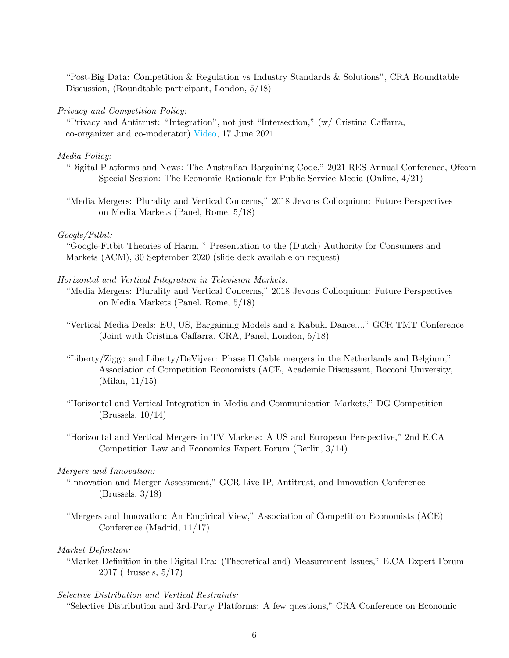"Post-Big Data: Competition & Regulation vs Industry Standards & Solutions", CRA Roundtable Discussion, (Roundtable participant, London, 5/18)

#### Privacy and Competition Policy:

"Privacy and Antitrust: "Integration", not just "Intersection," (w/ Cristina Caffarra, co-organizer and co-moderator) [Video,](https://cepr.org/content/privacy-antitrust-integration-not-just-intersection-0) 17 June 2021

#### Media Policy:

- "Digital Platforms and News: The Australian Bargaining Code," 2021 RES Annual Conference, Ofcom Special Session: The Economic Rationale for Public Service Media (Online, 4/21)
- "Media Mergers: Plurality and Vertical Concerns," 2018 Jevons Colloquium: Future Perspectives on Media Markets (Panel, Rome, 5/18)

#### Google/Fitbit:

"Google-Fitbit Theories of Harm, " Presentation to the (Dutch) Authority for Consumers and Markets (ACM), 30 September 2020 (slide deck available on request)

#### Horizontal and Vertical Integration in Television Markets:

- "Media Mergers: Plurality and Vertical Concerns," 2018 Jevons Colloquium: Future Perspectives on Media Markets (Panel, Rome, 5/18)
- "Vertical Media Deals: EU, US, Bargaining Models and a Kabuki Dance...," GCR TMT Conference (Joint with Cristina Caffarra, CRA, Panel, London, 5/18)
- "Liberty/Ziggo and Liberty/DeVijver: Phase II Cable mergers in the Netherlands and Belgium," Association of Competition Economists (ACE, Academic Discussant, Bocconi University, (Milan, 11/15)
- "Horizontal and Vertical Integration in Media and Communication Markets," DG Competition (Brussels, 10/14)
- "Horizontal and Vertical Mergers in TV Markets: A US and European Perspective," 2nd E.CA Competition Law and Economics Expert Forum (Berlin, 3/14)

#### Mergers and Innovation:

- "Innovation and Merger Assessment," GCR Live IP, Antitrust, and Innovation Conference (Brussels, 3/18)
- "Mergers and Innovation: An Empirical View," Association of Competition Economists (ACE) Conference (Madrid, 11/17)

#### Market Definition:

"Market Definition in the Digital Era: (Theoretical and) Measurement Issues," E.CA Expert Forum 2017 (Brussels, 5/17)

#### Selective Distribution and Vertical Restraints:

"Selective Distribution and 3rd-Party Platforms: A few questions," CRA Conference on Economic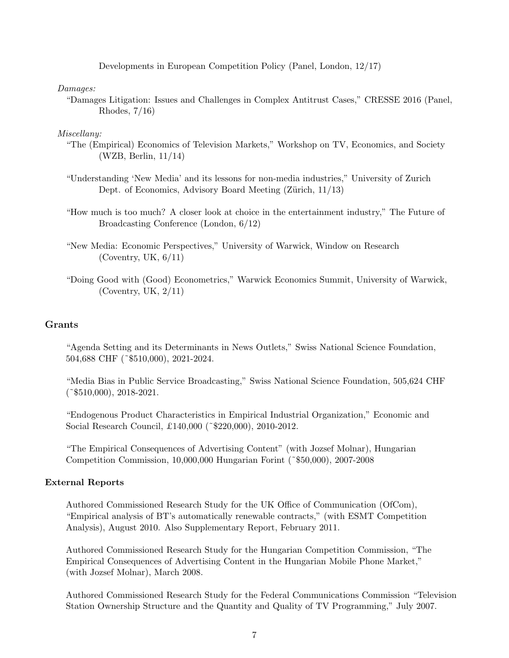Developments in European Competition Policy (Panel, London, 12/17)

Damages:

"Damages Litigation: Issues and Challenges in Complex Antitrust Cases," CRESSE 2016 (Panel, Rhodes, 7/16)

#### Miscellany:

- "The (Empirical) Economics of Television Markets," Workshop on TV, Economics, and Society (WZB, Berlin, 11/14)
- "Understanding 'New Media' and its lessons for non-media industries," University of Zurich Dept. of Economics, Advisory Board Meeting (Zürich, 11/13)
- "How much is too much? A closer look at choice in the entertainment industry," The Future of Broadcasting Conference (London, 6/12)
- "New Media: Economic Perspectives," University of Warwick, Window on Research (Coventry, UK, 6/11)
- "Doing Good with (Good) Econometrics," Warwick Economics Summit, University of Warwick, (Coventry, UK, 2/11)

## Grants

"Agenda Setting and its Determinants in News Outlets," Swiss National Science Foundation, 504,688 CHF (˜\$510,000), 2021-2024.

"Media Bias in Public Service Broadcasting," Swiss National Science Foundation, 505,624 CHF  $(*\$510,000), 2018-2021.$ 

"Endogenous Product Characteristics in Empirical Industrial Organization," Economic and Social Research Council, £140,000 (~\$220,000), 2010-2012.

"The Empirical Consequences of Advertising Content" (with Jozsef Molnar), Hungarian Competition Commission, 10,000,000 Hungarian Forint (˜\$50,000), 2007-2008

#### External Reports

Authored Commissioned Research Study for the UK Office of Communication (OfCom), "Empirical analysis of BT's automatically renewable contracts," (with ESMT Competition Analysis), August 2010. Also Supplementary Report, February 2011.

Authored Commissioned Research Study for the Hungarian Competition Commission, "The Empirical Consequences of Advertising Content in the Hungarian Mobile Phone Market," (with Jozsef Molnar), March 2008.

Authored Commissioned Research Study for the Federal Communications Commission "Television Station Ownership Structure and the Quantity and Quality of TV Programming," July 2007.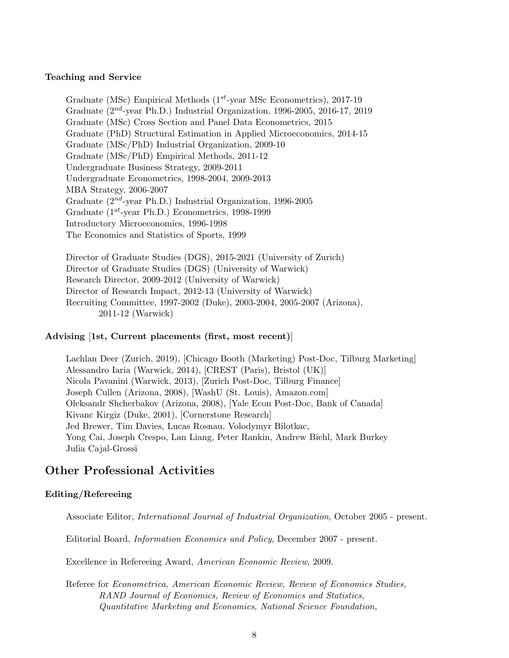#### Teaching and Service

Graduate (MSc) Empirical Methods ( $1^{st}$ -year MSc Econometrics), 2017-19 Graduate  $(2^{nd}$ -year Ph.D.) Industrial Organization, 1996-2005, 2016-17, 2019 Graduate (MSc) Cross Section and Panel Data Econometrics, 2015 Graduate (PhD) Structural Estimation in Applied Microeconomics, 2014-15 Graduate (MSc/PhD) Industrial Organization, 2009-10 Graduate (MSc/PhD) Empirical Methods, 2011-12 Undergraduate Business Strategy, 2009-2011 Undergraduate Econometrics, 1998-2004, 2009-2013 MBA Strategy, 2006-2007 Graduate  $(2^{nd}$ -year Ph.D.) Industrial Organization, 1996-2005 Graduate  $(1^{st}$ -year Ph.D.) Econometrics, 1998-1999 Introductory Microeconomics, 1996-1998 The Economics and Statistics of Sports, 1999

Director of Graduate Studies (DGS), 2015-2021 (University of Zurich) Director of Graduate Studies (DGS) (University of Warwick) Research Director, 2009-2012 (University of Warwick) Director of Research Impact, 2012-13 (University of Warwick) Recruiting Committee, 1997-2002 (Duke), 2003-2004, 2005-2007 (Arizona), 2011-12 (Warwick)

#### Advising [1st, Current placements (first, most recent)]

Lachlan Deer (Zurich, 2019), [Chicago Booth (Marketing) Post-Doc, Tilburg Marketing] Alessandro Iaria (Warwick, 2014), [CREST (Paris), Bristol (UK)] Nicola Pavanini (Warwick, 2013), [Zurich Post-Doc, Tilburg Finance] Joseph Cullen (Arizona, 2008), [WashU (St. Louis), Amazon.com] Oleksandr Shcherbakov (Arizona, 2008), [Yale Econ Post-Doc, Bank of Canada] Kivanc Kirgiz (Duke, 2001), [Cornerstone Research] Jed Brewer, Tim Davies, Lucas Rosnau, Volodymyr Bilotkac, Yong Cai, Joseph Crespo, Lan Liang, Peter Rankin, Andrew Biehl, Mark Burkey Julia Cajal-Grossi

## Other Professional Activities

## Editing/Refereeing

Associate Editor, International Journal of Industrial Organization, October 2005 - present.

Editorial Board, Information Economics and Policy, December 2007 - present.

Excellence in Refereeing Award, American Economic Review, 2009.

Referee for Econometrica, American Economic Review, Review of Economics Studies, RAND Journal of Economics, Review of Economics and Statistics, Quantitative Marketing and Economics, National Science Foundation,